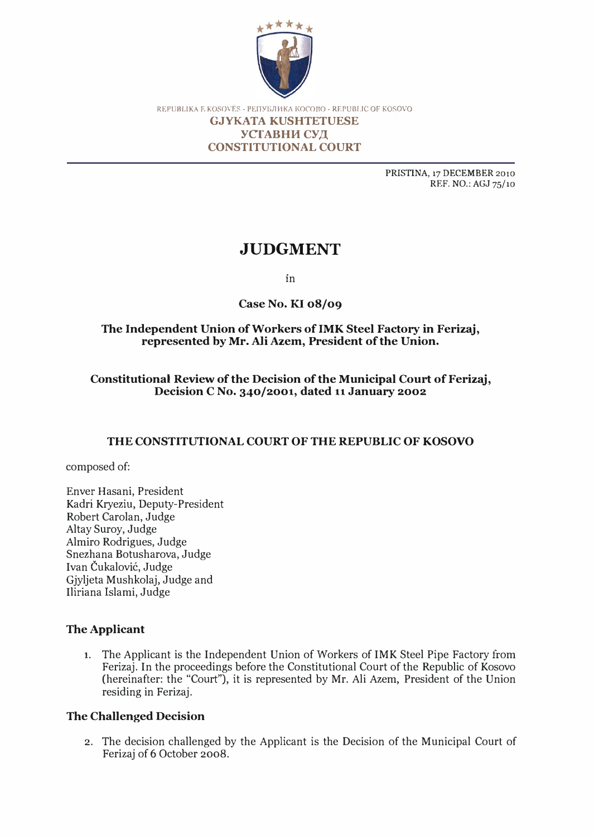

REPUBLIKA E KOSOVËS - PENYEJIHKA KOCOBO - REPUBLIC OF KOSOVO

#### GJYKATA KUSHTETUESE УСТАВНИ СУД CONSTITUTIONAL COURT

PRlSfINA, 17 DECEMBER 2010 REF. NO.: AGJ 75/10

# **JUDGMENT**

in

Case No. KI 08/09

## The Independent Union of Workers ofIMK Steel Factory in Ferizaj, represented by Mr. Ali Azem, President of the Union.

# Constitutional Review of the Decision of the Municipal Court of Ferizaj, Decision C No. 340/2001, dated 11 January 2002

# THE CONSTITUTIONAL COURT OF THE REPUBLIC OF KOSOVO

composed of:

Enver Hasani, President Kadri Kryeziu, Deputy-President Robert Carolan, Judge Altay Suroy, Judge Almiro Rodrigues, Judge Snezhana Botusharova, Judge Ivan Čukalović, Judge Gjyljeta Mushkolaj, Judge and Iliriana Islami, Judge

# The Applicant

1. The Applicant is the Independent Union of Workers of IMK Steel Pipe Factory from Ferizaj. In the proceedings before the Constitutional Court of the Republic of Kosovo (hereinafter: the "Court"), it is represented by Mr. Ali Azem, President of the Union residing in Ferizaj.

## The Challenged Decision

2. The decision challenged by the Applicant is the Decision of the Municipal Court of Ferizaj of 6 October 2008.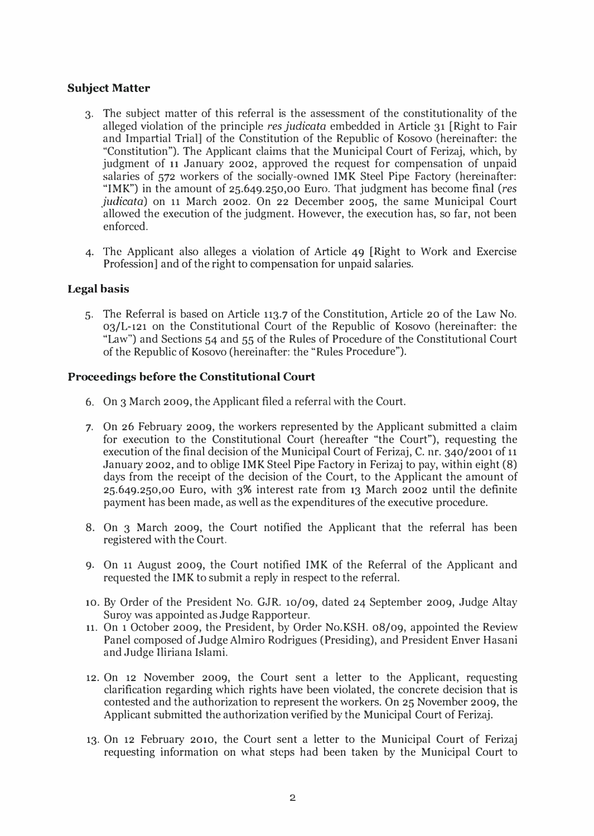### Subject Matter

- 3. The subject matter of this referral is the assessment of the constitutionality of the alleged violation of the principle res judicata embedded in Article 31 [Right to Fair and Impartial Trial] of the Constitution of the Republic of Kosovo (hereinafter: the "Constitution"). The Applicant claims that the Municipal Court of Ferizaj, which, by judgment of 11 January 2002, approved the request for compensation of unpaid salaries of 572 workers of the socially-owned IMK Steel Pipe Factory (hereinafter: "IMK") in the amount of 25.649.250,00 Euro. That judgment has become final (res judicata) on 11 March 2002. On 22 December 2005, the same Municipal Court allowed the execution of the judgment. However, the execution has, so far, not been enforced.
- 4. The Applicant also alleges a violation of Article 49 [Right to Work and Exercise Profession] and of the right to compensation for unpaid salaries.

#### Legal basis

5. The Referral is based on Article 113.7 of the Constitution, Article 20 of the Law No. 03/L-121 on the Constitutional Court of the Republic of Kosovo (hereinafter: the "Law") and Sections 54 and 55 of the Rules of Procedure of the Constitutional Court of the Republic of Kosovo (hereinafter: the "Rules Procedure").

#### Proceedings before the Constitutional Court

- 6. On 3 March 2009, the Applicant filed a referral with the Court.
- 7. On 26 February 2009, the workers represented by the Applicant submitted a claim for execution to the Constitutional Court (hereafter "the Court"), requesting the execution of the final decision of the Municipal Court of Ferizaj, C. nr. 340/2001 of 11 January 2002, and to oblige IMK Steel Pipe Factory in Ferizaj to pay, within eight (8) days from the receipt of the decision of the Court, to the Applicant the amount of 25.649.250,00 Euro, with 3% interest rate from 13 March 2002 until the definite payment has been made, as well as the expenditures of the executive procedure.
- 8. On 3 March 2009, the Court notified the Applicant that the referral has been registered with the Court.
- 9. On 11 August 2009, the Court notified IMK of the Referral of the Applicant and requested the IMK to submit a reply in respect to the referral.
- 10. By Order of the President No. GJR. 10/09, dated 24 September 2009, Judge Altay Suroy was appointed as Judge Rapporteur.
- 11. On 1 October 2009, the President, by Order No.KSH. 08/09, appointed the Review Panel composed of Judge A1miro Rodrigues (Presiding), and President Enver Hasani and Judge Iliriana Islami.
- 12. On 12 November 2009, the Court sent a letter to the Applicant, requesting clarification regarding which rights have been violated, the concrete decision that is contested and the authorization to represent the workers. On 25 November 2009, the Applicant submitted the authorization verified by the Municipal Court of Ferizaj.
- 13. On 12 February 2010, the Court sent a letter to the Municipal Court of Ferizaj requesting information on what steps had been taken by the Municipal Court to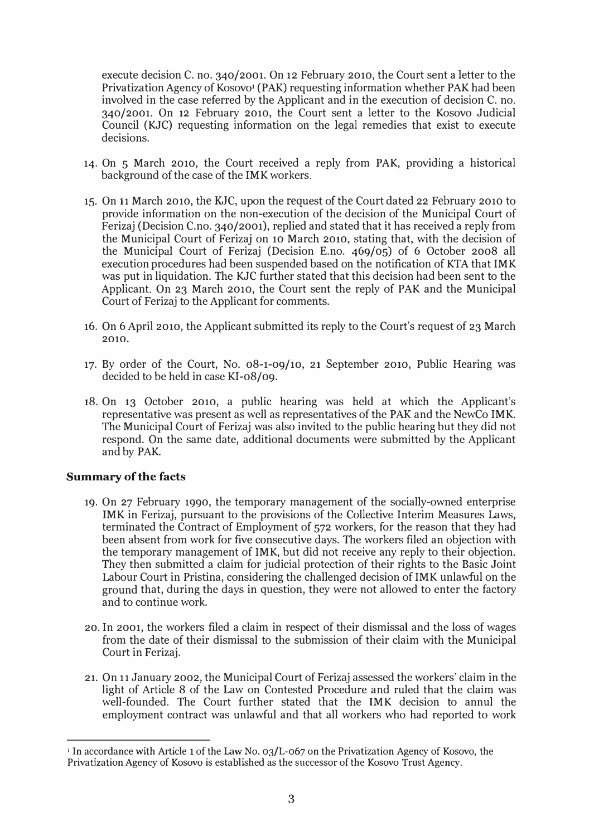execute decision C. no. 340/2001. On 12 February 2010, the Court sent a letter to the Privatization Agency of Kosovo<sup>1</sup> (PAK) requesting information whether PAK had been involved in the case referred by the Applicant and in the execution of decision C. no. 340/2001. On 12 February 2010, the Court sent a letter to the Kosovo Judicial Council (KJC) requesting information on the legal remedies that exist to execute decisions.

- 14. On 5 March 2010, the Court received a reply from PAK, providing a historical background of the case of the IMK workers.
- 15. On 11 March 2010, the KJC, upon the request of the Court dated 22 February 2010 to provide information on the non-execution of the decision of the Municipal Court of Ferizaj (Decision C.no. 340/2001), replied and stated that it has received a reply from the Municipal Court of Ferizaj on 10 March 2010, stating that, with the decision of the Municipal Court of Ferizaj (Decision E.no. 469/05) of 6 October 2008 all execution procedures had been suspended based on the notification of KTA that IMK was put in liquidation. The KJC further stated that this decision had been sent to the Applicant. On 23 March 2010, the Court sent the reply of PAK and the Municipal Court of Ferizaj to the Applicant for comments.
- 16. On 6 April 2010, the Applicant submitted its reply to the Court's request of 23 March 2010.
- 17. By order of the Court, No. 08-1-09/10, 21 September 2010, Public Hearing was decided to be held in case KI-08/09.
- 18. On 13 October 2010, a public hearing was held at which the Applicant's representative was present as well as representatives of the PAK and the NewCo IMK. The Municipal Court of Ferizaj was also invited to the public hearing but they did not respond. On the same date, additional documents were submitted by the Applicant and by PAK.

#### Summary of the facts

- 19. On 27 February 1990, the temporary management of the socially-owned enterprise IMK in Ferizaj, pursuant to the provisions of the Collective Interim Measures Laws, terminated the Contract of Employment of 572 workers, for the reason that they had been absent from work for five consecutive days. The workers filed an objection with the temporary management of IMK, but did not receive any reply to their objection. They then submitted a claim for judicial protection of their rights to the Basic Joint Labour Court in Pristina, considering the challenged decision of IMK unlawful on the ground that, during the days in question, they were not allowed to enter the factory and to continue work.
- 20. In 2001, the workers filed a claim in respect of their dismissal and the loss of wages from the date of their dismissal to the submission of their claim with the Municipal Court in Ferizaj.
- 21. On 11 January 2002, the Municipal Court of Ferizaj assessed the workers' claim in the light of Article 8 of the Law on Contested Procedure and ruled that the claim was well-founded. The Court further stated that the IMK decision to annul the employment contract was unlawful and that all workers who had reported to work

<sup>&</sup>lt;sup>1</sup> In accordance with Article 1 of the Law No. 03/L-067 on the Privatization Agency of Kosovo, the Privatization Agency of Kosovo is established as the successor of the Kosovo Trust Agency.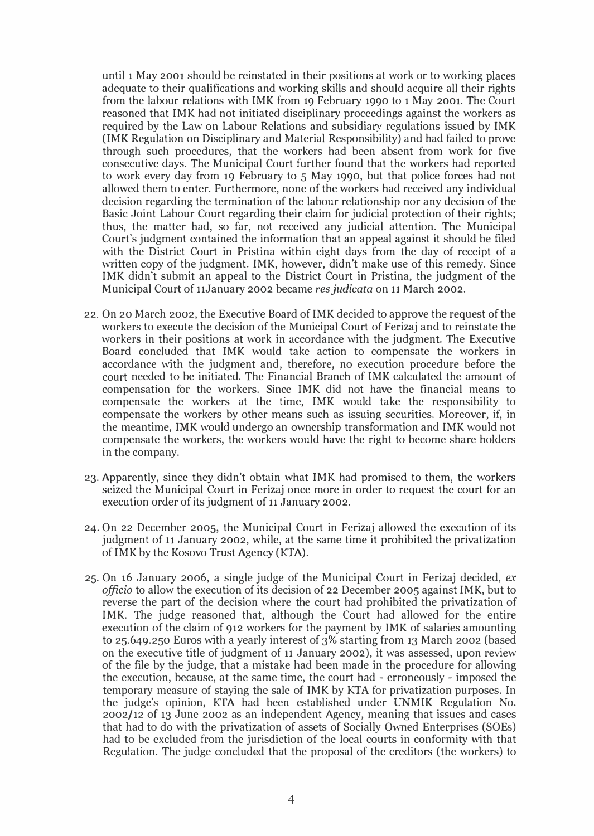until 1 May 2001 should be reinstated in their positions at work or to working places adequate to their qualifications and working skills and should acquire all their rights from the labour relations with IMK from 19 February 1990 to 1 May 2001. The Court reasoned that IMK had not initiated disciplinary proceedings against the workers as required by the Law on Labour Relations and subsidiary regulations issued by IMK (IMK Regulation on Disciplinary and Material Responsibility) and had failed to prove through such procedures, that the workers had been absent from work for five consecutive days. The Municipal Court further found that the workers had reported to work every day from 19 February to 5 May 1990, but that police forces had not allowed them to enter. Furthermore, none of the workers had received any individual decision regarding the termination of the labour relationship nor any decision of the Basic Joint Labour Court regarding their claim for judicial protection of their rights; thus, the matter had, so far, not received any judicial attention. The Municipal Court's judgment contained the information that an appeal against it should be filed with the District Court in Pristina within eight days from the day of receipt of a written copy of the judgment. IMK, however, didn't make use of this remedy. Since IMK didn't submit an appeal to the District Court in Pristina, the judgment of the Municipal Court of 11January 2002 became res judicata on 11 March 2002.

- 22. On 20 March 2002, the Executive Board of IMK decided to approve the request of the workers to execute the decision of the Municipal Court of Ferizaj and to reinstate the workers in their positions at work in accordance with the judgment. The Executive Board concluded that IMK would take action to compensate the workers in accordance with the judgment and, therefore, no execution procedure before the court needed to be initiated. The Financial Branch of IMK calculated the amount of compensation for the workers. Since IMK did not have the financial means to compensate the workers at the time, IMK would take the responsibility to compensate the workers by other means such as issuing securities. Moreover, if, in the meantime, IMK would undergo an ownership transformation and IMK would not compensate the workers, the workers would have the right to become share holders in the company.
- 23. Apparently, since they didn't obtain what IMK had promised to them, the workers seized the Municipal Court in Ferizaj once more in order to request the court for an execution order of its judgment of 11 January 2002.
- 24. On 22 December 2005, the Municipal Court in Ferizaj allowed the execution of its judgment of 11 January 2002, while, at the same time it prohibited the privatization of IMK by the Kosovo Trust Agency (KTA).
- 25. On 16 January 2006, a single judge of the Municipal Court in Ferizaj decided, ex officio to allow the execution of its decision of 22 December 2005 against IMK, but to reverse the part of the decision where the court had prohibited the privatization of IMK. The judge reasoned that, although the Court had allowed for the entire execution of the claim of 912 workers for the payment by IMK of salaries amounting to 25.649.250 Euros with a yearly interest of 3% starting from 13 March 2002 (based on the executive title of judgment of 11 January 2002), it was assessed, upon review of the file by the judge, that a mistake had been made in the procedure for allowing the execution, because, at the same time, the court had - erroneously - imposed the temporary measure of staying the sale of IMK by KTA for privatization purposes. In the judge's opinion, KTA had been established under UNMIK Regulation No. 2002/12 of 13 June 2002 as an independent Agency, meaning that issues and cases that had to do with the privatization of assets of Socially Owned Enterprises (SOEs) had to be excluded from the jurisdiction of the local courts in conformity with that Regulation. The judge concluded that the proposal of the creditors (the workers) to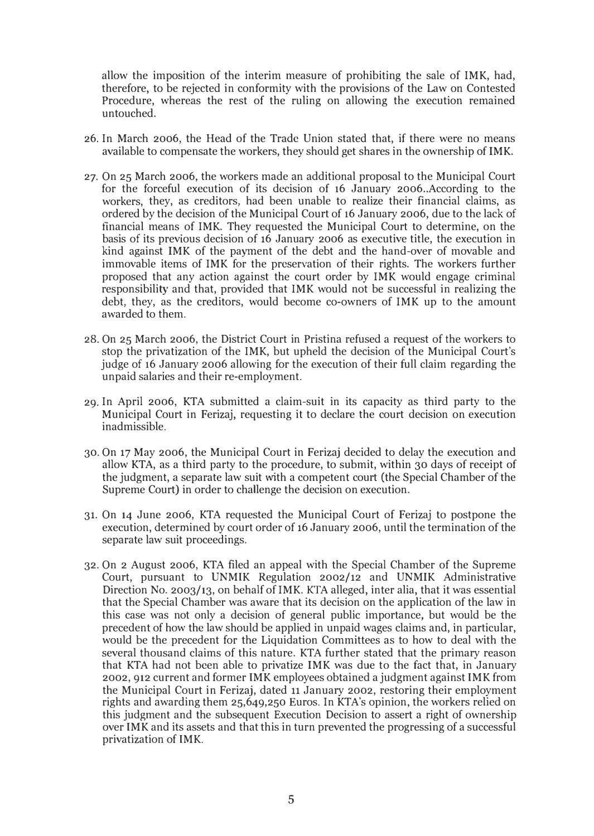allow the imposition of the interim measure of prohibiting the sale of IMK, had, therefore, to be rejected in conformity with the provisions of the Law on Contested Procedure, whereas the rest of the ruling on allowing the execution remained untouched.

- 26. In March 2006, the Head of the Trade Union stated that, if there were no means available to compensate the workers, they should get shares in the ownership of IMK.
- 27. On 25 March 2006, the workers made an additional proposal to the Municipal Court for the forceful execution of its decision of 16 January 2006 .. According to the workers, they, as creditors, had been unable to realize their financial claims, as ordered by the decision of the Municipal Court of 16 January 2006, due to the lack of financial means of IMK. They requested the Municipal Court to determine, on the basis of its previous decision of 16 January 2006 as executive title, the execution in kind against IMK of the payment of the debt and the hand-over of movable and immovable items of IMK for the preservation of their rights. The workers further proposed that any action against the court order by IMK would engage criminal responsibility and that, provided that IMK would not be successful in realizing the debt, they, as the creditors, would become co-owners of IMK up to the amount awarded to them.
- 28. On 25 March 2006, the District Court in Pristina refused a request of the workers to stop the privatization of the IMK, but upheld the decision of the Municipal Court's judge of 16 January 2006 allowing for the execution of their full claim regarding the unpaid salaries and their re-employment.
- 29. In April 2006, KTA submitted a claim-suit in its capacity as third party to the Municipal Court in Ferizaj, requesting it to declare the court decision on execution inadmissible.
- 30. On 17 May 2006, the Municipal Court in Ferizaj decided to delay the execution and allow KTA, as a third party to the procedure, to submit, within 30 days of receipt of the judgment, a separate law suit with a competent court (the Special Chamber of the Supreme Court) in order to challenge the decision on execution.
- 31. On 14 June 2006, KTA requested the Municipal Court of Ferizaj to postpone the execution, determined by court order of 16 January 2006, until the termination of the separate law suit proceedings.
- 32. On 2 August 2006, KTA filed an appeal with the Special Chamber of the Supreme Court, pursuant to UNMIK Regulation 2002/12 and UNMIK Administrative Direction No. 2003/13, on behalf of IMK. KTA alleged, inter alia, that it was essential that the Special Chamber was aware that its decision on the application of the law in this case was not only a decision of general public importance, but would be the precedent of how the law should be applied in unpaid wages claims and, in particular, would be the precedent for the Liquidation Committees as to how to deal with the several thousand claims of this nature. KTA further stated that the primary reason that KTA had not been able to privatize IMK was due to the fact that, in January 2002,912 current and former IMK employees obtained a judgment against IMK from the Municipal Court in Ferizaj, dated 11 January 2002, restoring their employment rights and awarding them 25,649,250 Euros. In KTA's opinion, the workers relied on this judgment and the subsequent Execution Decision to assert a right of ownership over IMK and its assets and that this in turn prevented the progressing of a successful privatization of IMK.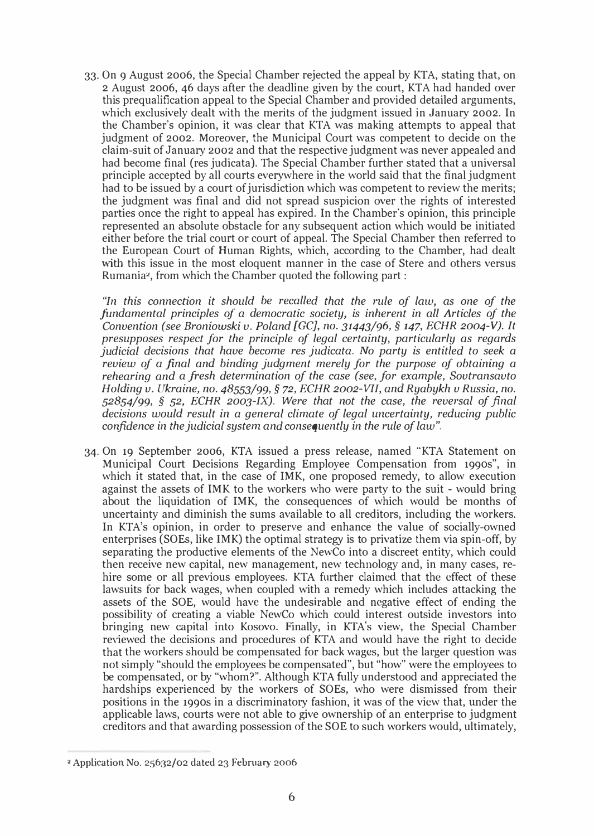33. On 9 August 2006, the Special Chamber rejected the appeal by KTA, stating that, on 2 August 2006, 46 days after the deadline given by the court, KTA had handed over this prequalification appeal to the Special Chamber and provided detailed arguments, which exclusively dealt with the merits of the judgment issued in January 2002. In the Chamber's opinion, it was clear that KTA was making attempts to appeal that judgment of 2002. Moreover, the Municipal Court was competent to decide on the claim-suit of January 2002 and that the respective judgment was never appealed and had become final (res judicata). The Special Chamber further stated that a universal principle accepted by all courts everywhere in the world said that the final judgment had to be issued by a court of jurisdiction which was competent to review the merits; the judgment was final and did not spread suspicion over the rights of interested parties once the right to appeal has expired. In the Chamber's opinion, this principle represented an absolute obstacle for any subsequent action which would be initiated either before the trial court or court of appeal. The Special Chamber then referred to the European Court of Human Rights, which, according to the Chamber, had dealt with this issue in the most eloquent manner in the case of Stere and others versus Rumania', from which the Chamber quoted the following part :

"In this connection it should be recalled that the rule of law, as one of the fundamental principles of a democratic society, is inherent in all Articles of the Convention (see Broniowski v. Poland [GC], no. 31443/96, § 147, ECHR 2004-V). It presupposes respect for the principle of legal certainty, particularly as regards judicial decisions that have become res judicata. No party is entitled to seek a review of a final and binding judgment merely for the purpose of obtaining a rehearing and a fresh determination of the case (see, for example, Sovtransavto Holding v. Ukraine, no. 48553/99, § 72, ECHR 2002-VII, and Ryabykh v Russia, no.  $52854/99$ , § 52, ECHR 2003-IX). Were that not the case, the reversal of final decisions would result in a general climate of legal uncertainty, reducing public confidence in the judicial system and consequently in the rule of law".

34. On 19 September 2006, KTA issued a press release, named "KTA Statement on Municipal Court Decisions Regarding Employee Compensation from 1990s", in which it stated that, in the case of IMK, one proposed remedy, to allow execution against the assets of IMK to the workers who were party to the suit - would bring about the liquidation of IMK, the consequences of which would be months of uncertainty and diminish the sums available to all creditors, including the workers. In KTA's opinion, in order to preserve and enhance the value of socially-owned enterprises (SOEs, like IMK) the optimal strategy is to privatize them via spin-off, by separating the productive elements of the NewCo into a discreet entity, which could then receive new capital, new management, new technology and, in many cases, rehire some or all previous employees. KTA further claimed that the effect of these lawsuits for back wages, when coupled with a remedy which includes attacking the assets of the SOE, would have the undesirable and negative effect of ending the possibility of creating a viable NewCo which could interest outside investors into bringing new capital into Kosovo. Finally, in KTA's view, the Special Chamber reviewed the decisions and procedures of KTA and would have the right to decide that the workers should be compensated for back wages, but the larger question was not simply "should the employees be compensated", but "how" were the employees to be compensated, or by "whom?". Although KTA fully understood and appreciated the hardships experienced by the workers of SOEs, who were dismissed from their positions in the 1990s in a discriminatory fashion, it was of the view that, under the applicable laws, courts were not able to give ownership of an enterprise to judgment creditors and that awarding possession of the SOE to such workers would, ultimately,

<sup>,</sup> Application No. 25632/02 dated 23 February 2006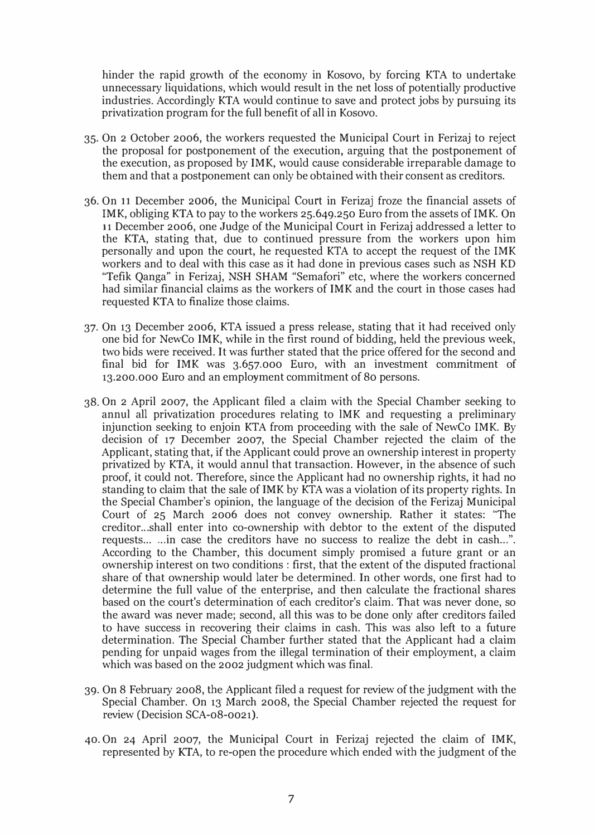hinder the rapid growth of the economy in Kosovo, by forcing KTA to undertake unnecessary liquidations, which would result in the net loss of potentially productive industries. Accordingly KTA would continue to save and protect jobs by pursuing its privatization program for the full benefit of all in Kosovo.

- 35. On 2 October 2006, the workers requested the Municipal Court in Ferizaj to reject the proposal for postponement of the execution, arguing that the postponement of the execution, as proposed by IMK, would cause considerable irreparable damage to them and that a postponement can only be obtained with their consent as creditors.
- 36. On 11 December 2006, the Municipal Court in Ferizaj froze the financial assets of IMK, obliging KTA to pay to the workers 25.649.250 Euro from the assets of IMK. On 11 December 2006, one Judge of the Municipal Court in Ferizaj addressed a letter to the KTA, stating that, due to continued pressure from the workers upon him personally and upon the court, he requested KTA to accept the request of the IMK workers and to deal with this case as it had done in previous cases such as NSH KD "Tefik Qanga" in Ferizaj, NSH SHAM "Semafori" etc, where the workers concerned had similar financial claims as the workers of IMK and the court in those cases had requested KTA to finalize those claims.
- 37. On 13 December 2006, KTA issued a press release, stating that it had received only one bid for NewCo IMK, while in the first round of bidding, held the previous week, two bids were received. It was further stated that the price offered for the second and final bid for IMK was 3.657.000 Euro, with an investment commitment of 13.200.000 Euro and an employment commitment of 80 persons.
- 38. On 2 April 2007, the Applicant filed a claim with the Special Chamber seeking to annul all privatization procedures relating to lMK and requesting a preliminary injunction seeking to enjoin KTA from proceeding with the sale of NewCo IMK. By decision of 17 December 2007, the Special Chamber rejected the claim of the Applicant, stating that, if the Applicant could prove an ownership interest in property privatized by KTA, it would annul that transaction. However, in the absence of such proof, it could not. Therefore, since the Applicant had no ownership rights, it had no standing to claim that the sale of IMK by KTA was a violation of its property rights. In the Special Chamber's opinion, the language of the decision of the Ferizaj Municipal Court of 25 March 2006 does not convey ownership. Rather it states: "The creditor. .. shall enter into co-ownership with debtor to the extent of the disputed requests... ... in case the creditors have no success to realize the debt in cash ....". According to the Chamber, this document simply promised a future grant or an ownership interest on two conditions: first, that the extent of the disputed fractional share of that ownership would later be determined. In other words, one first had to determine the full value of the enterprise, and then calculate the fractional shares based on the court's determination of each creditor's claim. That was never done, so the award was never made; second, all this was to be done only after creditors failed to have success in recovering their claims in cash. This was also left to a future determination. The Special Chamber further stated that the Applicant had a claim pending for unpaid wages from the illegal termination of their employment, a claim which was based on the 2002 judgment which was final.
- 39. On 8 February 2008, the Applicant filed a request for review of the judgment with the Special Chamber. On 13 March 2008, the Special Chamber rejected the request for review (Decision SCA-08-0021).
- 40. On 24 April 2007, the Municipal Court in Ferizaj rejected the claim of IMK, represented by KTA, to re-open the procedure which ended with the judgment of the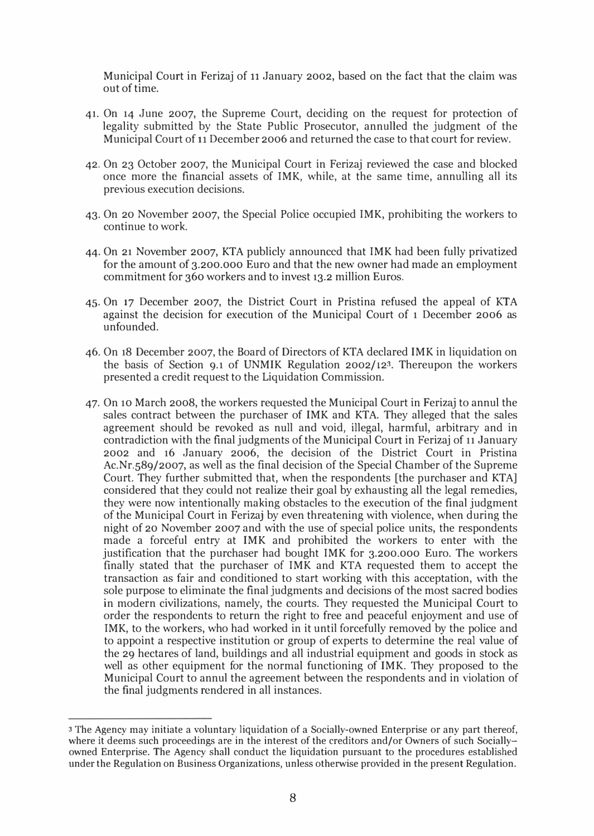Municipal Court in Ferizaj of 11 January 2002, based on the fact that the claim was out of time.

- 41. On 14 June 2007, the Supreme Court, deciding on the request for protection of legality submitted by the State Public Prosecutor, annulled the judgment of the Municipal Court of 11 December 2006 and returned the case to that court for review.
- 42. On 23 October 2007, the Municipal Court in Ferizaj reviewed the case and blocked once more the financial assets of IMK, while, at the same time, annulling all its previous execution decisions.
- 43. On 20 November 2007, the Special Police occupied IMK, prohibiting the workers to continue to work.
- 44. On 21 November 2007, KTA publicly announced that IMK had been fully privatized for the amount of 3.200.000 Euro and that the new owner had made an employment commitment for 360 workers and to invest 13.2 million Euros.
- 45. On 17 December 2007, the District Court in Pristina refused the appeal of KTA against the decision for execution of the Municipal Court of 1 December 2006 as unfounded.
- 46. On 18 December 2007, the Board of Directors of KTA declared IMK in liquidation on the basis of Section 9.1 of UNMIK Regulation 2002/123. Thereupon the workers presented a credit request to the Liquidation Commission.
- 47. On 10 March 2008, the workers requested the Municipal Court in Ferizaj to annul the sales contract between the purchaser of IMK and KTA. They alleged that the sales agreement should be revoked as null and void, illegal, harmful, arbitrary and in contradiction with the final judgments of the Municipal Court in Ferizaj of 11 January 2002 and 16 January 2006, the decision of the District Court in Pristina Ac.Nr.589/2007, as well as the final decision of the Special Chamber of the Supreme Court. They further submitted that, when the respondents [the purchaser and KTAJ considered that they could not realize their goal by exhausting all the legal remedies, they were now intentionally making obstacles to the execution of the final judgment of the Municipal Court in Ferizaj by even threatening with violence, when during the night of 20 November 2007 and with the use of special police units, the respondents made a forceful entry at IMK and prohibited the workers to enter with the justification that the purchaser had bought IMK for 3.200.000 Euro. The workers finally stated that the purchaser of IMK and KTA requested them to accept the transaction as fair and conditioned to start working with this acceptation, with the sole purpose to eliminate the final judgments and decisions of the most sacred bodies in modern civilizations, namely, the courts. They requested the Municipal Court to order the respondents to return the right to free and peaceful enjoyment and use of IMK, to the workers, who had worked in it until forcefully removed by the police and to appoint a respective institution or group of experts to determine the real value of the 29 hectares of land, buildings and all industrial equipment and goods in stock as well as other equipment for the normal functioning of IMK. They proposed to the Municipal Court to annul the agreement between the respondents and in violation of the final judgments rendered in all instances.

<sup>3</sup> The Agency may initiate a voluntary liquidation of a Socially-owned Enterprise or any part thereof, where it deems such proceedings are in the interest of the creditors and/or Owners of such Sociallyowned Enterprise. The Agency shall conduct the liquidation pursuant to the procedures established under the Regulation on Business Organizations, unless otherwise provided in the present Regulation.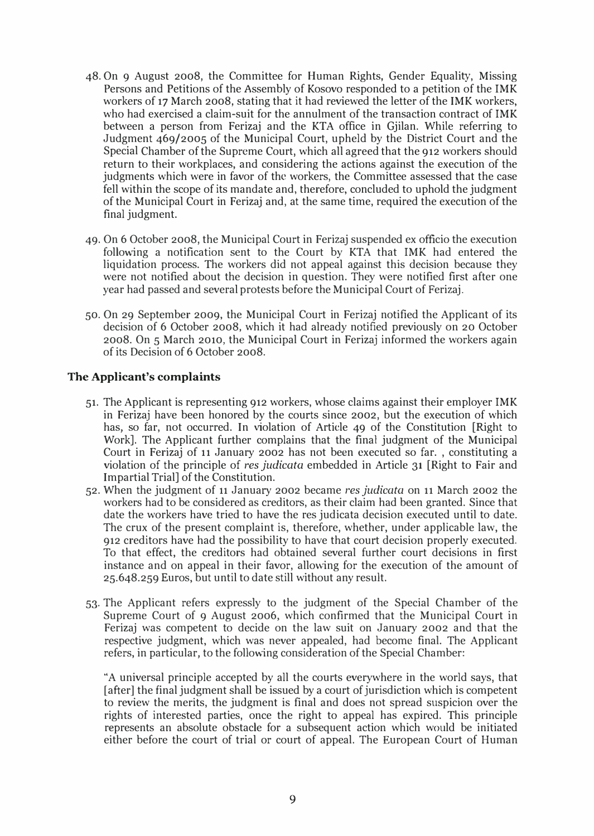- 48. On 9 August 2008, the Committee for Human Rights, Gender Equality, Missing Persons and Petitions of the Assembly of Kosovo responded to a petition of the IMK workers of 17 March 2008, stating that it had reviewed the letter of the IMK workers, who had exercised a claim-suit for the annulment of the transaction contract of IMK between a person from Ferizaj and the KTA office in Gjilan. While referring to Judgment 469/2005 of the Municipal Court, upheld by the District Court and the Special Chamber of the Supreme Court, which all agreed that the 912 workers should return to their workplaces, and considering the actions against the execution of the judgments which were in favor of the workers, the Committee assessed that the case fell within the scope of its mandate and, therefore, concluded to uphold the judgment of the Municipal Court in Ferizaj and, at the same time, required the execution of the final judgment.
- 49. On 6 October 2008, the Municipal Court in Ferizaj suspended ex officio the execution following a notification sent to the Court by KTA that IMK had entered the liquidation process. The workers did not appeal against this decision because they were not notified about the decision in question. They were notified first after one year had passed and several protests before the Municipal Court of Ferizaj.
- 50. On 29 September 2009, the Municipal Court in Ferizaj notified the Applicant of its decision of 6 October 2008, which it had already notified previously on 20 October 2008. On 5 March 2010, the Municipal Court in Ferizaj informed the workers again of its Decision of 6 October 2008.

#### The Applicant's complaints

- 51. The Applicant is representing 912 workers, whose claims against their employer IMK in Ferizaj have been honored by the courts since 2002, but the execution of which has, so far, not occurred. In violation of Article 49 of the Constitution [Right to Work]. The Applicant further complains that the final judgment of the Municipal Court in Ferizaj of 11 January 2002 has not been executed so far. , constituting a violation of the principle of res judicata embedded in Article 31 [Right to Fair and Impartial Trial] of the Constitution.
- 52. When the judgment of 11 January 2002 became res judicata on 11 March 2002 the workers had to be considered as creditors, as their claim had been granted. Since that date the workers have tried to have the res judicata decision executed until to date. The crux of the present complaint is, therefore, whether, under applicable law, the 912 creditors have had the possibility to have that court decision properly executed. To that effect, the creditors had obtained several further court decisions in first instance and on appeal in their favor, allowing for the execution of the amount of 25.648.259 Euros, but until to date still without any result.
- 53. The Applicant refers expressly to the judgment of the Special Chamber of the Supreme Court of 9 August 2006, which confirmed that the Municipal Court in Ferizaj was competent to decide on the law suit on January 2002 and that the respective judgment, which was never appealed, had become final. The Applicant refers, in particular, to the following consideration of the Special Chamber:

"A universal principle accepted by all the courts everywhere in the world says, that [after] the final judgment shall be issued by a court of jurisdiction which is competent to review the merits, the judgment is final and does not spread suspicion over the rights of interested parties, once the right to appeal has expired. This principle represents an absolute obstacle for a subsequent action which would be initiated either before the court of trial or court of appeal. The European Court of Human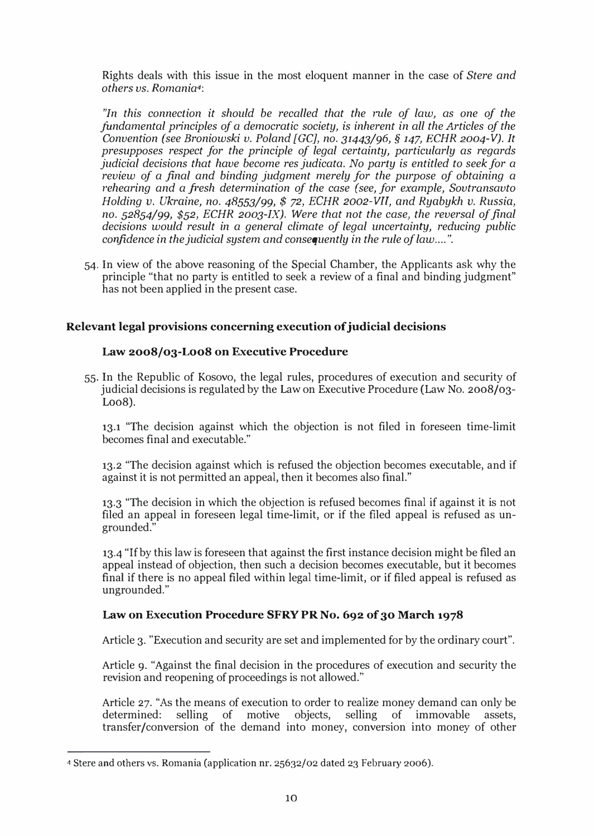Rights deals with this issue in the most eloquent manner in the case of Stere and others vs. Romania4:

"In this connection it should be recalled that the rule of law, as one of the fundamental principles of a democratic society, is inherent in all the Articles of the Convention (see Broniowski v. Poland [GCl, no. 31443/96, § 147, ECHR 2004-V). It presupposes respect for the principle of legal certainty, particularly as regards judicial decisions that have become res judicata. No party is entitled to seek for a review of a final and binding judgment merely for the purpose of obtaining a rehearing and a fresh determination of the case (see, for example, Sovtransavto Holding v. Ukraine, no. 48553/99, \$ 72, ECHR 2oo2-VII, and Ryabykh v. Russia, no.  $52854/99$ ,  $$52$ , ECHR 2003-IX). Were that not the case, the reversal of final decisions would result in a general climate of legal uncertainty, reducing public confidence in the judicial system and consequently in the rule of law....".

54. In view of the above reasoning of the Special Chamber, the Applicants ask why the principle "that no party is entitled to seek a review of a final and binding judgment" has not been applied in the present case.

### Relevant legal provisions concerning execution of judicial decisions

#### Law 2008/03-Loo8 on Executive Procedure

55. In the Republic of Kosovo, the legal rules, procedures of execution and security of judicial decisions is regulated by the Law on Executive Procedure (Law No. 2008/03  $Loo8$ ).

13.1 "The decision against which the objection is not filed in foreseen time-limit becomes final and executable."

13.2 "The decision against which is refused the objection becomes executable, and if against it is not permitted an appeal, then it becomes also final."

13.3 "The decision in which the objection is refused becomes final if against it is not filed an appeal in foreseen legal time-limit, or if the filed appeal is refused as ungrounded."

13.4 "If by this law is foreseen that against the first instance decision might be filed an appeal instead of objection, then such a decision becomes executable, but it becomes final if there is no appeal filed within legal time-limit, or if filed appeal is refused as ungrounded."

#### Law on Execution Procedure SFRY PR No. 692 of 30 March 1978

Article 3. "Execution and security are set and implemented for by the ordinary court".

Article 9. "Against the final decision in the procedures of execution and security the revision and reopening of proceedings is not allowed."

Article 27. "As the means of execution to order to realize money demand can only be determined: selling of motive objects, selling of immovable assets, transfer/conversion of the demand into money, conversion into money of other

<sup>4</sup>Stere and others vs. Romania (application nr. 25632/02 dated 23 February 2006).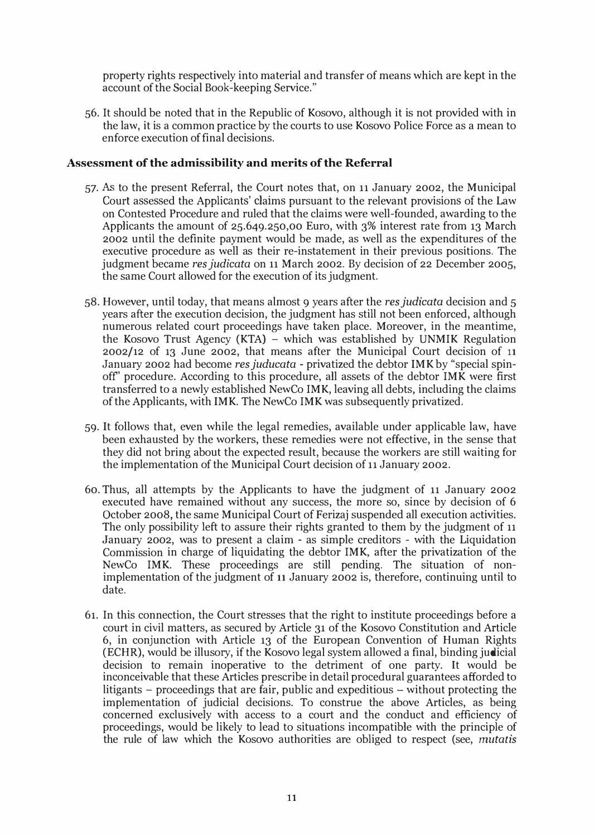property rights respectively into material and transfer of means which are kept in the account of the Social Book-keeping Service."

56. It should be noted that in the Republic of Kosovo, although it is not provided with in the law, it is a common practice by the courts to use Kosovo Police Force as a mean to enforce execution of final decisions.

#### Assessment of the admissibility and merits of the Referral

- 57. As to the present Referral, the Court notes that, on 11 January 2002, the Municipal Court assessed the Applicants' claims pursuant to the relevant provisions of the Law on Contested Procedure and ruled that the claims were well-founded, awarding to the Applicants the amount of 25.649.250,00 Euro, with 3% interest rate from 13 March 2002 until the definite payment would be made, as well as the expenditures of the executive procedure as well as their re-instatement in their previous positions. The judgment became res judicata on 11 March 2002. By decision of 22 December 2005, the same Court allowed for the execution of its judgment.
- 58. However, until today, that means almost 9 years after the res judicata decision and 5 years after the execution decision, the judgment has still not been enforced, although numerous related court proceedings have taken place. Moreover, in the meantime, the Kosovo Trust Agency (KTA) - which was established by UNMIK Regulation 2002/12 of 13 June 2002, that means after the Municipal Court decision of 11 January 2002 had become res juducata - privatized the debtor IMK by "special spinoff' procedure. According to this procedure, all assets of the debtor IMK were first transferred to a newly established NewCo IMK, leaving all debts, including the claims of the Applicants, with IMK. The NewCo IMK was subsequently privatized.
- 59. It follows that, even while the legal remedies, available under applicable law, have been exhausted by the workers, these remedies were not effective, in the sense that they did not bring about the expected result, because the workers are still waiting for the implementation of the Municipal Court decision of 11 January 2002.
- 60. Thus, all attempts by the Applicants to have the judgment of 11 January 2002 executed have remained without any success, the more so, since by decision of 6 October 2008, the same Municipal Court of Ferizaj suspended all execution activities. The only possibility left to assure their rights granted to them by the judgment of 11 January 2002, was to present a claim - as simple creditors - with the Liquidation Commission in charge of liquidating the debtor IMK, after the privatization of the NewCo IMK. These proceedings are still pending. The situation of nonimplementation of the judgment of 11 January 2002 is, therefore, continuing until to date.
- 61. In this connection, the Court stresses that the right to institute proceedings before a court in civil matters, as secured by Article 31 of the Kosovo Constitution and Article 6, in conjunction with Article 13 of the European Convention of Human Rights (ECHR), would be illusory, if the Kosovo legal system allowed a final, binding judicial decision to remain inoperative to the detriment of one party. It would be inconceivable that these Articles prescribe in detail procedural guarantees afforded to litigants  $-$  proceedings that are fair, public and expeditious  $-$  without protecting the implementation of judicial decisions. To construe the above Articles, as being concerned exclusively with access to a court and the conduct and efficiency of proceedings, would be likely to lead to situations incompatible with the principle of the rule of law which the Kosovo authorities are obliged to respect (see, mutatis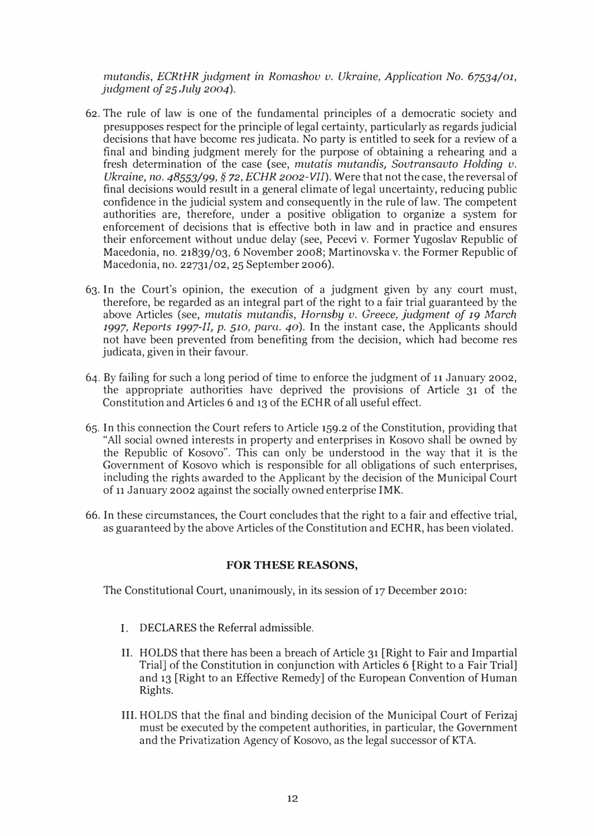mutandis, ECRtHR judgment in Romashov v. Ukraine, Application No. 67534/01, judgment of  $25$  July 2004).

- 62. The rule of law is one of the fundamental principles of a democratic society and presupposes respect for the principle of legal certainty, particularly as regards judicial decisions that have become res judicata. No party is entitled to seek for a review of a final and binding judgment merely for the purpose of obtaining a rehearing and a fresh determination of the case (see, mutatis mutandis, Sovtransavto Holding  $v$ . Ukraine, no.  $48553/99$ ,  $\S$  72, ECHR 2002-VII). Were that not the case, the reversal of final decisions would result in a general climate of legal uncertainty, reducing public confidence in the judicial system and consequently in the rule of law. The competent authorities are, therefore, under a positive obligation to organize a system for enforcement of decisions that is effective both in law and in practice and ensures their enforcement without undue delay (see, Pecevi v. Former Yugoslav Republic of Macedonia, no. 21839/03, 6 November 2008; Martinovska v. the Former Republic of Macedonia, no. 22731/02, 25 September 2006).
- 63. In the Court's opinion, the execution of a judgment given by any court must, therefore, be regarded as an integral part of the right to a fair trial guaranteed by the above Articles (see, mutatis mutandis, Hornsby v. Greece, judgment of 19 March 1997, Reports 1997-II, p. 510, para. 40). In the instant case, the Applicants should not have been prevented from benefiting from the decision, which had become res judicata, given in their favour.
- 64. By failing for such a long period of time to enforce the judgment of 11 January 2002, the appropriate authorities have deprived the provisions of Article 31 of the Constitution and Articles 6 and 13 of the ECHR of all useful effect.
- 65. In this connection the Court refers to Article 159.2 of the Constitution, providing that "All social owned interests in property and enterprises in Kosovo shall be owned by the Republic of Kosovo". This can only be understood in the way that it is the Government of Kosovo which is responsible for all obligations of such enterprises, including the rights awarded to the Applicant by the decision of the Municipal Court of 11 January 2002 against the socially owned enterprise IMK.
- 66. In these circumstances, the Court concludes that the right to a fair and effective trial, as guaranteed by the above Articles of the Constitution and ECHR, has been violated.

#### FOR THESE REASONS,

The Constitutional Court, unanimously, in its session of 17 December 2010:

- I. DECLARES the Referral admissible.
- II. HOLDS that there has been a breach of Article 31 [Right to Fair and Impartial Trial] of the Constitution in conjunction with Articles 6 [Right to a Fair Trial] and 13 [Right to an Effective Remedy] of the European Convention of Human Rights.
- Ill. HOLDS that the final and binding decision of the Municipal Court of Ferizaj must be executed by the competent authorities, in particular, the Government and the Privatization Agency of Kosovo, as the legal successor of KT A.